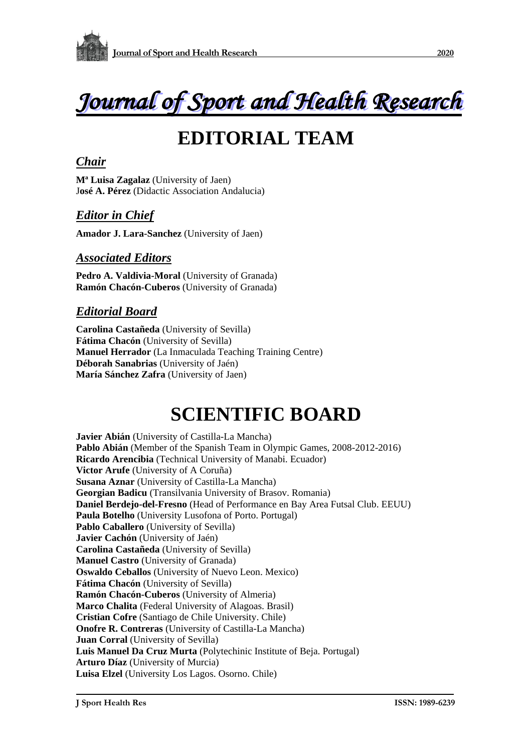



# **EDITORIAL TEAM**

#### *Chair*

**Mª Luisa Zagalaz** (University of Jaen) J**osé A. Pérez** (Didactic Association Andalucia)

### *Editor in Chief*

**Amador J. Lara-Sanchez** (University of Jaen)

#### *Associated Editors*

Pedro A. Valdivia-Moral (University of Granada) **Ramón Chacón-Cuberos** (University of Granada)

#### *Editorial Board*

**Carolina Castañeda** (University of Sevilla) **Fátima Chacón** (University of Sevilla) **Manuel Herrador** (La Inmaculada Teaching Training Centre) **Déborah Sanabrias** (University of Jaén) **María Sánchez Zafra** (University of Jaen)

## **SCIENTIFIC BOARD**

**Javier Abián** (University of Castilla-La Mancha) **Pablo Abián** (Member of the Spanish Team in Olympic Games, 2008-2012-2016) **Ricardo Arencibia** (Technical University of Manabi. Ecuador) **Victor Arufe** (University of A Coruña) **Susana Aznar** (University of Castilla-La Mancha) **Georgian Badicu** (Transilvania University of Brasov. Romania) **Daniel Berdejo-del-Fresno** (Head of Performance en Bay Area Futsal Club. EEUU) **Paula Botelho** (University Lusofona of Porto. Portugal) Pablo Caballero (University of Sevilla) **Javier Cachón** (University of Jaén) **Carolina Castañeda** (University of Sevilla) **Manuel Castro** (University of Granada) **Oswaldo Ceballos** (University of Nuevo Leon. Mexico) **Fátima Chacón** (University of Sevilla) **Ramón Chacón-Cuberos** (University of Almeria) **Marco Chalita** (Federal University of Alagoas. Brasil) **Cristian Cofre** (Santiago de Chile University. Chile) **Onofre R. Contreras** (University of Castilla-La Mancha) **Juan Corral** (University of Sevilla) **Luis Manuel Da Cruz Murta** (Polytechinic Institute of Beja. Portugal) **Arturo Díaz** (University of Murcia) **Luisa Elzel** (University Los Lagos. Osorno. Chile)